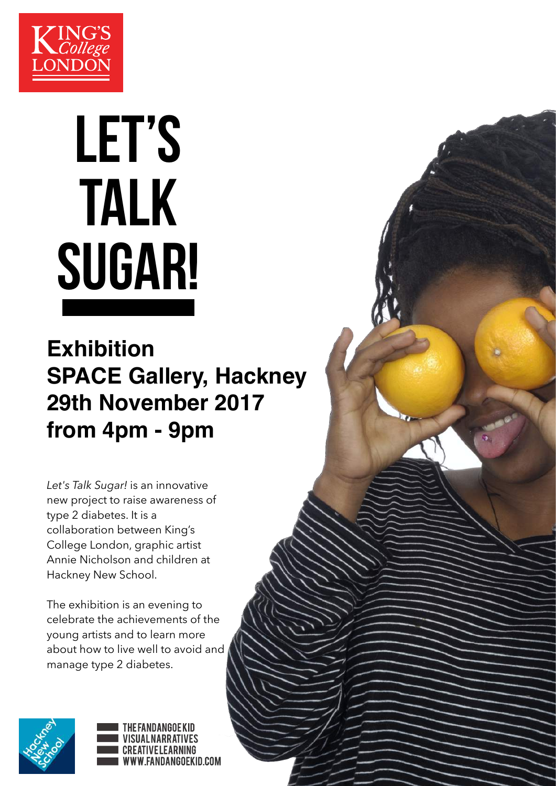

# LET'S TALK SUGAR!

#### **Exhibition SPACE Gallery, Hackney 29th November 2017 from 4pm - 9pm**

*Let's Talk Sugar!* is an innovative new project to raise awareness of type 2 diabetes. It is a collaboration between King's College London, graphic artist Annie Nicholson and children at Hackney New School.

The exhibition is an evening to celebrate the achievements of the young artists and to learn more about how to live well to avoid and manage type 2 diabetes.



THE FANDANGOE KID IAL NARRATIVES **CREATIVELEARNING** WWW.FANDANGOEKID.COM